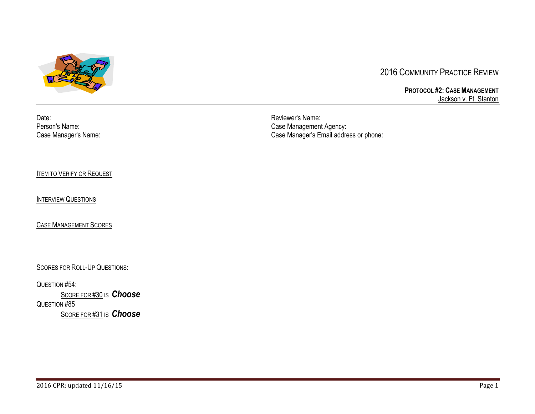

# 2016 COMMUNITY PRACTICE REVIEW

**PROTOCOL #2: CASE MANAGEMENT** Jackson v. Ft. Stanton

Date:<br>
Person's Name:<br>
Person's Name: Case Management

Person's Name: Case Management Agency: Case Management Agency: Case Management Agency: Case Manager's Email addre Case Manager's Email address or phone:

**ITEM TO V[ERIFY OR](#page-2-0) REQUEST** 

**I[NTERVIEW](#page-2-1) QUESTIONS** 

CASE M[ANAGEMENT](#page-13-0) SCORES

SCORES FOR ROLL-UP QUESTIONS:

QUESTION #54:

S[CORE FOR](#page-14-0) #30 IS *[Choose](#page-14-0)* QUESTION #85 S[CORE FOR](#page-14-1) #31 IS *[Choose](#page-14-1)*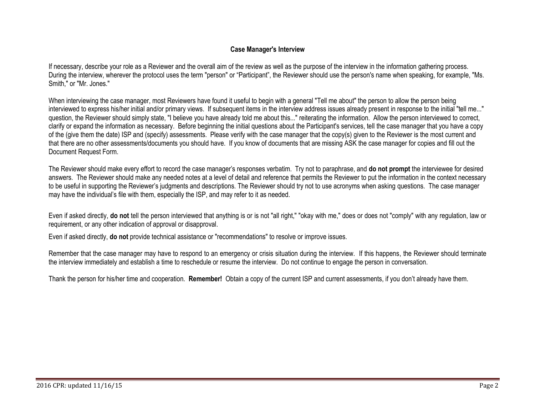# **Case Manager's Interview**

If necessary, describe your role as a Reviewer and the overall aim of the review as well as the purpose of the interview in the information gathering process. During the interview, wherever the protocol uses the term "person" or "Participant", the Reviewer should use the person's name when speaking, for example, "Ms. Smith," or "Mr. Jones."

When interviewing the case manager, most Reviewers have found it useful to begin with a general "Tell me about" the person to allow the person being interviewed to express his/her initial and/or primary views. If subsequent items in the interview address issues already present in response to the initial "tell me..." question, the Reviewer should simply state, "I believe you have already told me about this..." reiterating the information. Allow the person interviewed to correct, clarify or expand the information as necessary. Before beginning the initial questions about the Participant's services, tell the case manager that you have a copy of the (give them the date) ISP and (specify) assessments. Please verify with the case manager that the copy(s) given to the Reviewer is the most current and that there are no other assessments/documents you should have. If you know of documents that are missing ASK the case manager for copies and fill out the Document Request Form.

The Reviewer should make every effort to record the case manager's responses verbatim. Try not to paraphrase, and **do not prompt** the interviewee for desired answers. The Reviewer should make any needed notes at a level of detail and reference that permits the Reviewer to put the information in the context necessary to be useful in supporting the Reviewer's judgments and descriptions. The Reviewer should try not to use acronyms when asking questions. The case manager may have the individual's file with them, especially the ISP, and may refer to it as needed.

Even if asked directly, **do not** tell the person interviewed that anything is or is not "all right," "okay with me," does or does not "comply" with any regulation, law or requirement, or any other indication of approval or disapproval.

Even if asked directly, **do not** provide technical assistance or "recommendations" to resolve or improve issues.

Remember that the case manager may have to respond to an emergency or crisis situation during the interview. If this happens, the Reviewer should terminate the interview immediately and establish a time to reschedule or resume the interview. Do not continue to engage the person in conversation.

Thank the person for his/her time and cooperation. **Remember!** Obtain a copy of the current ISP and current assessments, if you don't already have them.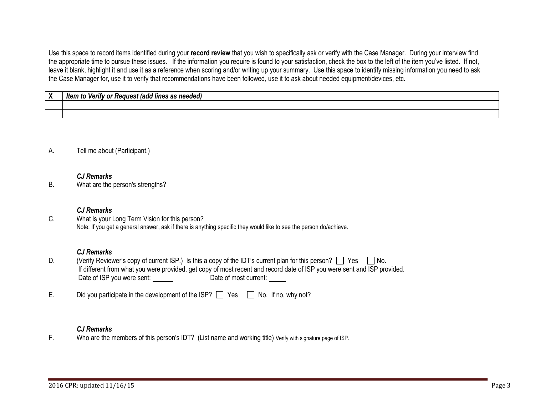Use this space to record items identified during your **record review** that you wish to specifically ask or verify with the Case Manager. During your interview find the appropriate time to pursue these issues. If the information you require is found to your satisfaction, check the box to the left of the item you've listed. If not, leave it blank, highlight it and use it as a reference when scoring and/or writing up your summary. Use this space to identify missing information you need to ask the Case Manager for, use it to verify that recommendations have been followed, use it to ask about needed equipment/devices, etc.

<span id="page-2-0"></span>

| $\checkmark$<br>$\mathbf{v}$ | .<br>. It≙n<br>needed.<br>linae<br>$\mathbf{v}$<br>,,,, |
|------------------------------|---------------------------------------------------------|
|                              |                                                         |
|                              |                                                         |

<span id="page-2-1"></span>A. Tell me about (Participant.)

#### *CJ Remarks*

B. What are the person's strengths?

#### *CJ Remarks*

C. What is your Long Term Vision for this person? Note: If you get a general answer, ask if there is anything specific they would like to see the person do/achieve.

#### *CJ Remarks*

- D. (Verify Reviewer's copy of current ISP.) Is this a copy of the IDT's current plan for this person?  $\Box$  Yes  $\Box$  No. If different from what you were provided, get copy of most recent and record date of ISP you were sent and ISP provided. Date of ISP you were sent:
- E. Did you participate in the development of the ISP?  $\Box$  Yes  $\Box$  No. If no, why not?

#### *CJ Remarks*

F. Who are the members of this person's IDT? (List name and working title) Verify with signature page of ISP.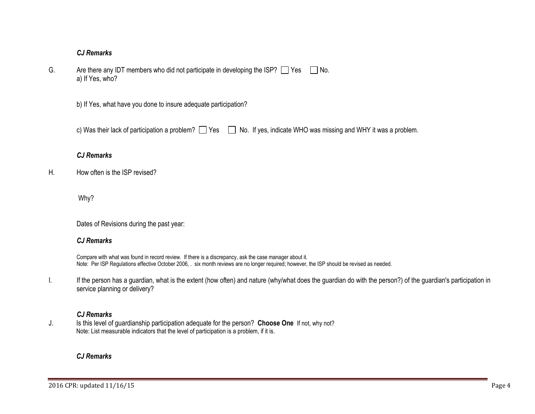| G. | Are there any IDT members who did not participate in developing the ISP? $\Box$ Yes $\Box$ No. |  |
|----|------------------------------------------------------------------------------------------------|--|
|    | a) If Yes, who?                                                                                |  |

b) If Yes, what have you done to insure adequate participation?

c) Was their lack of participation a problem?  $\Box$  Yes  $\Box$  No. If yes, indicate WHO was missing and WHY it was a problem.

# *CJ Remarks*

H. How often is the ISP revised?

Why?

Dates of Revisions during the past year:

# *CJ Remarks*

Compare with what was found in record review. If there is a discrepancy, ask the case manager about it. Note: Per ISP Regulations effective October 2006, . six month reviews are no longer required; however, the ISP should be revised as needed.

I. If the person has a guardian, what is the extent (how often) and nature (why/what does the guardian do with the person?) of the guardian's participation in service planning or delivery?

# *CJ Remarks*

J. Is this level of guardianship participation adequate for the person? **Choose One** If not, why not? Note: List measurable indicators that the level of participation is a problem, if it is.

# *CJ Remarks*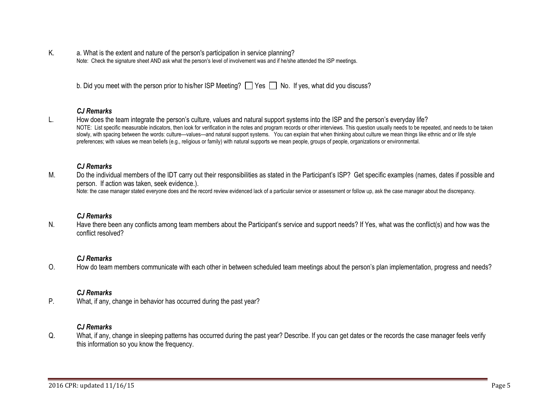K. a. What is the extent and nature of the person's participation in service planning? Note: Check the signature sheet AND ask what the person's level of involvement was and if he/she attended the ISP meetings.

| b. Did you meet with the person prior to his/her ISP Meeting? $\Box$ Yes $\Box$ No. If yes, what did you discuss? |  |  |  |
|-------------------------------------------------------------------------------------------------------------------|--|--|--|
|-------------------------------------------------------------------------------------------------------------------|--|--|--|

#### *CJ Remarks*

L. How does the team integrate the person's culture, values and natural support systems into the ISP and the person's everyday life? NOTE: List specific measurable indicators, then look for verification in the notes and program records or other interviews. This question usually needs to be repeated, and needs to be taken slowly, with spacing between the words: culture—values—and natural support systems. You can explain that when thinking about culture we mean things like ethnic and or life style preferences; with values we mean beliefs (e.g., religious or family) with natural supports we mean people, groups of people, organizations or environmental.

#### *CJ Remarks*

M. Do the individual members of the IDT carry out their responsibilities as stated in the Participant's ISP? Get specific examples (names, dates if possible and person. If action was taken, seek evidence.). Note: the case manager stated everyone does and the record review evidenced lack of a particular service or assessment or follow up, ask the case manager about the discrepancy.

#### *CJ Remarks*

N. Have there been any conflicts among team members about the Participant's service and support needs? If Yes, what was the conflict(s) and how was the conflict resolved?

#### *CJ Remarks*

O. How do team members communicate with each other in between scheduled team meetings about the person's plan implementation, progress and needs?

#### *CJ Remarks*

P. What, if any, change in behavior has occurred during the past year?

#### *CJ Remarks*

Q. What, if any, change in sleeping patterns has occurred during the past year? Describe. If you can get dates or the records the case manager feels verify this information so you know the frequency.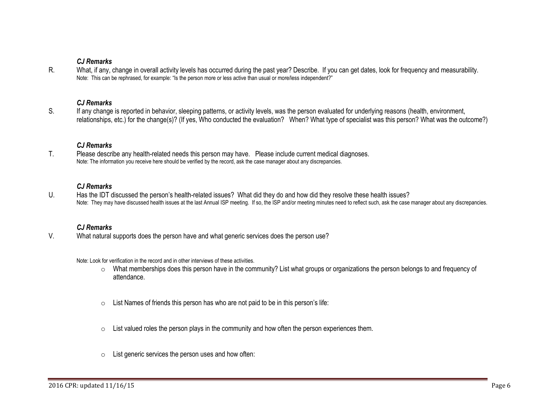R. What, if any, change in overall activity levels has occurred during the past year? Describe. If you can get dates, look for frequency and measurability. Note: This can be rephrased, for example: "Is the person more or less active than usual or more/less independent?"

#### *CJ Remarks*

S. If any change is reported in behavior, sleeping patterns, or activity levels, was the person evaluated for underlying reasons (health, environment, relationships, etc.) for the change(s)? (If yes, Who conducted the evaluation? When? What type of specialist was this person? What was the outcome?)

#### *CJ Remarks*

T. Please describe any health-related needs this person may have. Please include current medical diagnoses. Note: The information you receive here should be verified by the record, ask the case manager about any discrepancies.

#### *CJ Remarks*

U. Has the IDT discussed the person's health-related issues? What did they do and how did they resolve these health issues? Note: They may have discussed health issues at the last Annual ISP meeting. If so, the ISP and/or meeting minutes need to reflect such, ask the case manager about any discrepancies.

#### *CJ Remarks*

V. What natural supports does the person have and what generic services does the person use?

Note: Look for verification in the record and in other interviews of these activities.

- o What memberships does this person have in the community? List what groups or organizations the person belongs to and frequency of attendance.
- o List Names of friends this person has who are not paid to be in this person's life:
- $\circ$  List valued roles the person plays in the community and how often the person experiences them.
- $\circ$  List generic services the person uses and how often: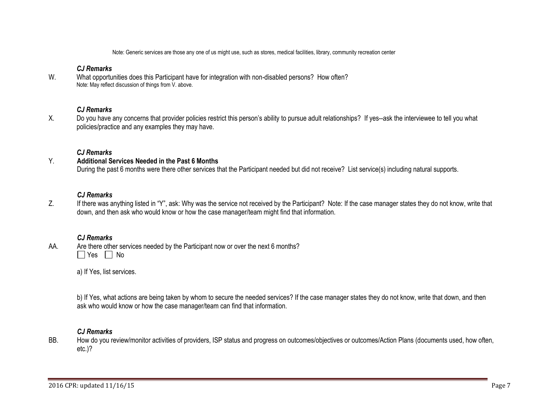Note: Generic services are those any one of us might use, such as stores, medical facilities, library, community recreation center

### *CJ Remarks*

W. What opportunities does this Participant have for integration with non-disabled persons? How often? Note: May reflect discussion of things from V. above.

# *CJ Remarks*

X. Do you have any concerns that provider policies restrict this person's ability to pursue adult relationships? If yes--ask the interviewee to tell you what policies/practice and any examples they may have.

### *CJ Remarks*

#### Y. **Additional Services Needed in the Past 6 Months**

During the past 6 months were there other services that the Participant needed but did not receive? List service(s) including natural supports.

#### *CJ Remarks*

Z. If there was anything listed in "Y", ask: Why was the service not received by the Participant? Note: If the case manager states they do not know, write that down, and then ask who would know or how the case manager/team might find that information.

#### *CJ Remarks*

AA. Are there other services needed by the Participant now or over the next 6 months?  $\Box$  Yes  $\Box$  No

a) If Yes, list services.

b) If Yes, what actions are being taken by whom to secure the needed services? If the case manager states they do not know, write that down, and then ask who would know or how the case manager/team can find that information.

#### *CJ Remarks*

BB. How do you review/monitor activities of providers, ISP status and progress on outcomes/objectives or outcomes/Action Plans (documents used, how often, etc.)?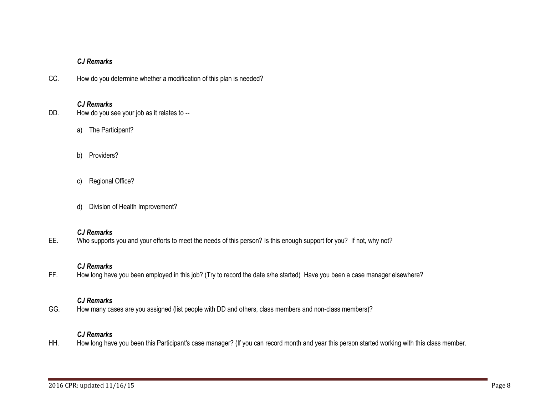CC. How do you determine whether a modification of this plan is needed?

# *CJ Remarks*

- DD. How do you see your job as it relates to -
	- a) The Participant?
	- b) Providers?
	- c) Regional Office?
	- d) Division of Health Improvement?

# *CJ Remarks*

EE. Who supports you and your efforts to meet the needs of this person? Is this enough support for you? If not, why not?

### *CJ Remarks*

FF. How long have you been employed in this job? (Try to record the date s/he started) Have you been a case manager elsewhere?

# *CJ Remarks*

GG. How many cases are you assigned (list people with DD and others, class members and non-class members)?

# *CJ Remarks*

HH. How long have you been this Participant's case manager? (If you can record month and year this person started working with this class member.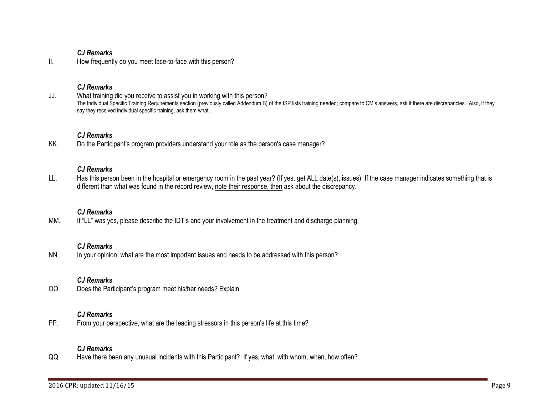II. How frequently do you meet face-to-face with this person?

# *CJ Remarks*

JJ. What training did you receive to assist you in working with this person? The Individual Specific Training Requirements section (previously called Addendum B) of the ISP lists training needed; compare to CM's answers, ask if there are discrepancies. Also, if they say they received individual specific training, ask them what.

# *CJ Remarks*

KK. Do the Participant's program providers understand your role as the person's case manager?

### *CJ Remarks*

LL. Has this person been in the hospital or emergency room in the past year? (If yes, get ALL date(s), issues). If the case manager indicates something that is different than what was found in the record review, note their response, then ask about the discrepancy.

# *CJ Remarks*

MM. If "LL" was yes, please describe the IDT's and your involvement in the treatment and discharge planning.

# *CJ Remarks*

NN. In your opinion, what are the most important issues and needs to be addressed with this person?

# *CJ Remarks*

OO. Does the Participant's program meet his/her needs? Explain.

# *CJ Remarks*

PP. From your perspective, what are the leading stressors in this person's life at this time?

# *CJ Remarks*

QQ. Have there been any unusual incidents with this Participant? If yes, what, with whom, when, how often?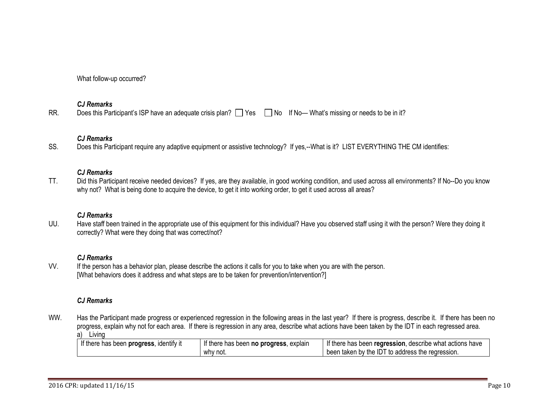What follow-up occurred?

### *CJ Remarks*

RR. Does this Participant's ISP have an adequate crisis plan?  $\Box$  Yes  $\Box$  No If No— What's missing or needs to be in it?

# *CJ Remarks*

SS. Does this Participant require any adaptive equipment or assistive technology? If yes,--What is it? LIST EVERYTHING THE CM identifies:

### *CJ Remarks*

TT. Did this Participant receive needed devices? If yes, are they available, in good working condition, and used across all environments? If No--Do you know why not? What is being done to acquire the device, to get it into working order, to get it used across all areas?

# *CJ Remarks*

UU. Have staff been trained in the appropriate use of this equipment for this individual? Have you observed staff using it with the person? Were they doing it correctly? What were they doing that was correct/not?

# *CJ Remarks*

VV. If the person has a behavior plan, please describe the actions it calls for you to take when you are with the person. [What behaviors does it address and what steps are to be taken for prevention/intervention?]

# *CJ Remarks*

WW. Has the Participant made progress or experienced regression in the following areas in the last year? If there is progress, describe it. If there has been no progress, explain why not for each area. If there is regression in any area, describe what actions have been taken by the IDT in each regressed area. a) Living

| If there has been progress, identify it | If there has been <b>no progress</b> , explain | If there has been regression, describe what actions have |
|-----------------------------------------|------------------------------------------------|----------------------------------------------------------|
|                                         | why not.                                       | been taken by the IDT to address the regression.         |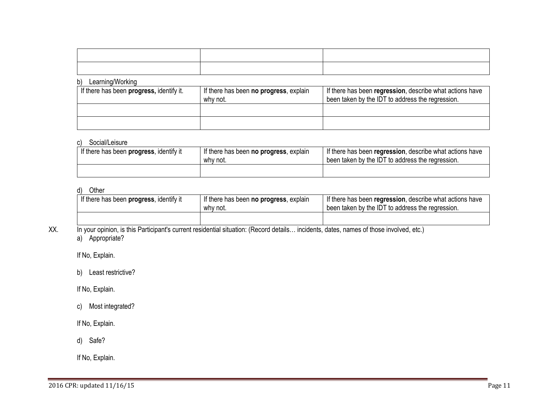| the contract of the contract of the contract of the contract of the contract of the contract of the contract of |  |
|-----------------------------------------------------------------------------------------------------------------|--|
|                                                                                                                 |  |

#### b) Learning/Working

| If there has been <b>progress</b> , identify it. | If there has been <b>no progress</b> , explain<br>why not. | If there has been regression, describe what actions have<br>been taken by the IDT to address the regression. |
|--------------------------------------------------|------------------------------------------------------------|--------------------------------------------------------------------------------------------------------------|
|                                                  |                                                            |                                                                                                              |
|                                                  |                                                            |                                                                                                              |

# c) Social/Leisure

| If there has been progress, identify it | I If there has been no progress, explain<br>why not. | If there has been regression, describe what actions have<br>been taken by the IDT to address the regression. |
|-----------------------------------------|------------------------------------------------------|--------------------------------------------------------------------------------------------------------------|
|                                         |                                                      |                                                                                                              |

# d) Other

| If there has been progress, identify it | If there has been no progress, explain<br>why not. | If there has been regression, describe what actions have<br>been taken by the IDT to address the regression. |
|-----------------------------------------|----------------------------------------------------|--------------------------------------------------------------------------------------------------------------|
|                                         |                                                    |                                                                                                              |

XX. In your opinion, is this Participant's current residential situation: (Record details... incidents, dates, names of those involved, etc.) a) Appropriate?

If No, Explain.

b) Least restrictive?

If No, Explain.

c) Most integrated?

If No, Explain.

d) Safe?

If No, Explain.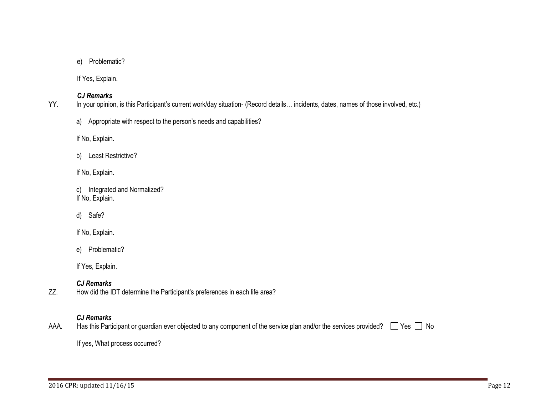e) Problematic?

If Yes, Explain.

# *CJ Remarks*

YY. In your opinion, is this Participant's current work/day situation- (Record details… incidents, dates, names of those involved, etc.)

a) Appropriate with respect to the person's needs and capabilities?

If No, Explain.

b) Least Restrictive?

If No, Explain.

c) Integrated and Normalized? If No, Explain.

d) Safe?

If No, Explain.

e) Problematic?

If Yes, Explain.

# *CJ Remarks*

ZZ. How did the IDT determine the Participant's preferences in each life area?

# *CJ Remarks*

AAA. Has this Participant or guardian ever objected to any component of the service plan and/or the services provided?  $\Box$  Yes  $\Box$  No

If yes, What process occurred?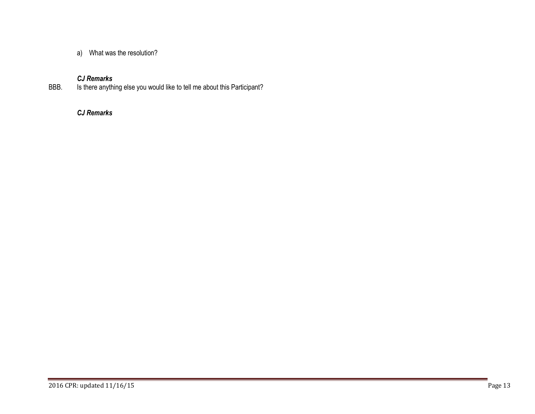a) What was the resolution?

# *CJ Remarks*

BBB. Is there anything else you would like to tell me about this Participant?

# *CJ Remarks*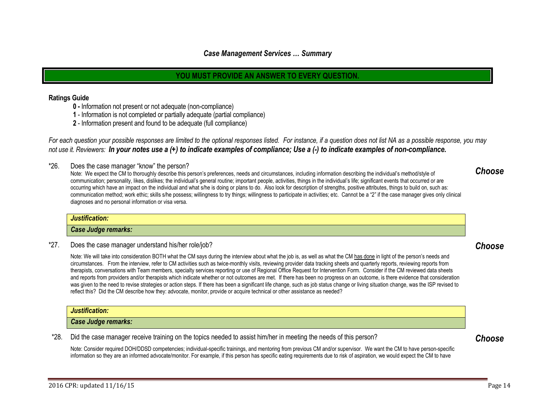# <span id="page-13-0"></span>*Case Management Services … Summary*

# **YOU MUST PROVIDE AN ANSWER TO EVERY QUESTION.**

#### **Ratings Guide**

- **0 -** Information not present or not adequate (non-compliance)
- **1** Information is not completed or partially adequate (partial compliance)
- **2** Information present and found to be adequate (full compliance)

*For each question your possible responses are limited to the optional responses listed. For instance, if a question does not list NA as a possible response, you may not use it. Reviewers: In your notes use a (+) to indicate examples of compliance; Use a (-) to indicate examples of non-compliance.*

\*26. Does the case manager "know" the person?

Note: We expect the CM to thoroughly describe this person's preferences, needs and circumstances, including information describing the individual's method/style of communication; personality, likes, dislikes; the individual's general routine; important people, activities, things in the individual's life; significant events that occurred or are occurring which have an impact on the individual and what s/he is doing or plans to do. Also look for description of strengths, positive attributes, things to build on, such as: communication method; work ethic; skills s/he possess; willingness to try things; willingness to participate in activities; etc. Cannot be a "2" if the case manager gives only clinical diagnoses and no personal information or visa versa.

#### *Justification:*

#### *Case Judge remarks:*

\*27. Does the case manager understand his/her role/job?

Note: We will take into consideration BOTH what the CM says during the interview about what the job is, as well as what the CM has done in light of the person's needs and circumstances. From the interview, refer to CM activities such as twice-monthly visits, reviewing provider data tracking sheets and quarterly reports, reviewing reports from therapists, conversations with Team members, specialty services reporting or use of Regional Office Request for Intervention Form. Consider if the CM reviewed data sheets and reports from providers and/or therapists which indicate whether or not outcomes are met. If there has been no progress on an outcome, is there evidence that consideration was given to the need to revise strategies or action steps. If there has been a significant life change, such as job status change or living situation change, was the ISP revised to reflect this? Did the CM describe how they: advocate, monitor, provide or acquire technical or other assistance as needed?

#### *Justification:*

#### *Case Judge remarks:*

\*28. Did the case manager receive training on the topics needed to assist him/her in meeting the needs of this person?

Note: Consider required DOH/DDSD competencies; individual-specific trainings, and mentoring from previous CM and/or supervisor. We want the CM to have person-specific information so they are an informed advocate/monitor. For example, if this person has specific eating requirements due to risk of aspiration, we would expect the CM to have

<span id="page-13-2"></span>*Choose*

<span id="page-13-1"></span>*Choose*

<span id="page-13-3"></span>*Choose*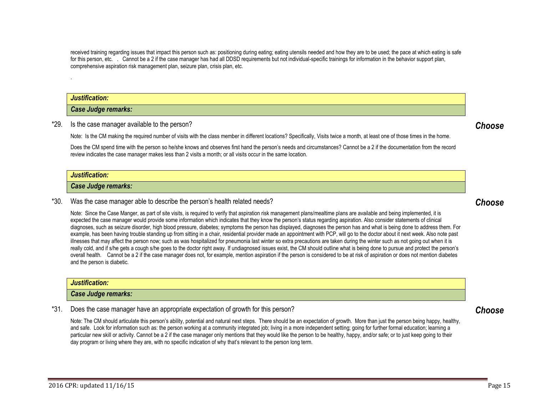received training regarding issues that impact this person such as: positioning during eating; eating utensils needed and how they are to be used; the pace at which eating is safe for this person, etc. . Cannot be a 2 if the case manager has had all DDSD requirements but not individual-specific trainings for information in the behavior support plan, comprehensive aspiration risk management plan, seizure plan, crisis plan, etc.

*Justification:*

.

*Case Judge remarks:*

\*29. Is the case manager available to the person?

Note: Is the CM making the required number of visits with the class member in different locations? Specifically, Visits twice a month, at least one of those times in the home.

Does the CM spend time with the person so he/she knows and observes first hand the person's needs and circumstances? Cannot be a 2 if the documentation from the record review indicates the case manager makes less than 2 visits a month; or all visits occur in the same location.

#### *Justification:*

#### *Case Judge remarks:*

\*30. Was the case manager able to describe the person's health related needs?

Note: Since the Case Manger, as part of site visits, is required to verify that aspiration risk management plans/mealtime plans are available and being implemented, it is expected the case manager would provide some information which indicates that they know the person's status regarding aspiration. Also consider statements of clinical diagnoses, such as seizure disorder, high blood pressure, diabetes; symptoms the person has displayed, diagnoses the person has and what is being done to address them. For example, has been having trouble standing up from sitting in a chair, residential provider made an appointment with PCP, will go to the doctor about it next week. Also note past illnesses that may affect the person now; such as was hospitalized for pneumonia last winter so extra precautions are taken during the winter such as not going out when it is really cold, and if s/he gets a cough s/he goes to the doctor right away. If undiagnosed issues exist, the CM should outline what is being done to pursue and protect the person's overall health. Cannot be a 2 if the case manager does not, for example, mention aspiration if the person is considered to be at risk of aspiration or does not mention diabetes and the person is diabetic.

| Justification:      |  |
|---------------------|--|
| Case Judge remarks: |  |

\*31. Does the case manager have an appropriate expectation of growth for this person?

Note: The CM should articulate this person's ability, potential and natural next steps. There should be an expectation of growth. More than just the person being happy, healthy, and safe. Look for information such as: the person working at a community integrated job; living in a more independent setting; going for further formal education; learning a particular new skill or activity. Cannot be a 2 if the case manager only mentions that they would like the person to be healthy, happy, and/or safe; or to just keep going to their day program or living where they are, with no specific indication of why that's relevant to the person long term.

<span id="page-14-2"></span>*Choose*

<span id="page-14-0"></span>*Choose*

<span id="page-14-1"></span>*Choose*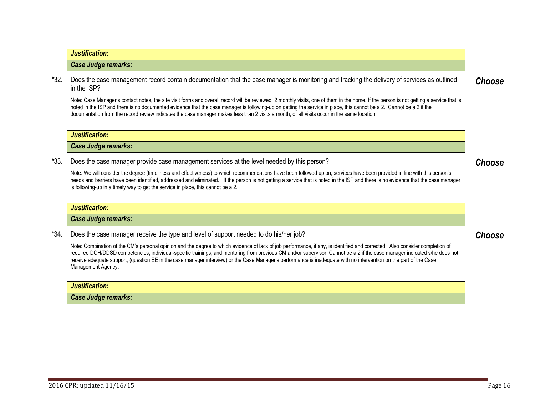# *Case Judge remarks:*

\*32. Does the case management record contain documentation that the case manager is monitoring and tracking the delivery of services as outlined in the ISP?

Note: Case Manager's contact notes, the site visit forms and overall record will be reviewed. 2 monthly visits, one of them in the home. If the person is not getting a service that is noted in the ISP and there is no documented evidence that the case manager is following-up on getting the service in place, this cannot be a 2. Cannot be a 2 if the documentation from the record review indicates the case manager makes less than 2 visits a month; or all visits occur in the same location.

#### *Justification:*

*Justification:*

*Case Judge remarks:*

\*33. Does the case manager provide case management services at the level needed by this person?

Note: We will consider the degree (timeliness and effectiveness) to which recommendations have been followed up on, services have been provided in line with this person's needs and barriers have been identified, addressed and eliminated. If the person is not getting a service that is noted in the ISP and there is no evidence that the case manager is following-up in a timely way to get the service in place, this cannot be a 2.

#### *Justification:*

*Case Judge remarks:*

\*34. Does the case manager receive the type and level of support needed to do his/her job?

Note: Combination of the CM's personal opinion and the degree to which evidence of lack of job performance, if any, is identified and corrected. Also consider completion of required DOH/DDSD competencies; individual-specific trainings, and mentoring from previous CM and/or supervisor. Cannot be a 2 if the case manager indicated s/he does not receive adequate support, (question EE in the case manager interview) or the Case Manager's performance is inadequate with no intervention on the part of the Case Management Agency.

#### *Justification:*

*Case Judge remarks:*

<span id="page-15-2"></span>*Choose*

<span id="page-15-1"></span>*Choose*

<span id="page-15-0"></span>*Choose*